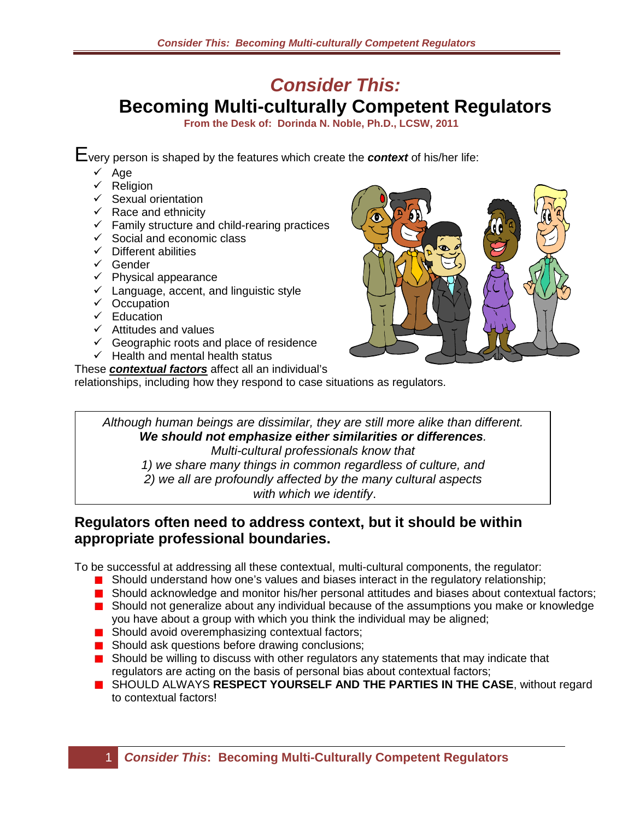## *Consider This:*

**Becoming Multi-culturally Competent Regulators**

**From the Desk of: Dorinda N. Noble, Ph.D., LCSW, 2011**

Every person is shaped by the features which create the *context* of his/her life:

- $\sqrt{Aq}$
- $\times$  Religion
- $\checkmark$  Sexual orientation
- $\checkmark$  Race and ethnicity
- $\checkmark$  Family structure and child-rearing practices
- $\checkmark$  Social and economic class
- $\checkmark$  Different abilities
- $\checkmark$  Gender
- $\checkmark$  Physical appearance
- $\checkmark$  Language, accent, and linguistic style
- $\checkmark$  Occupation
- $\checkmark$  Education
- $\checkmark$  Attitudes and values
- $\checkmark$  Geographic roots and place of residence
- $\checkmark$  Health and mental health status

These *contextual factors* affect all an individual's relationships, including how they respond to case situations as regulators.



*Although human beings are dissimilar, they are still more alike than different. We should not emphasize either similarities or differences. Multi-cultural professionals know that 1) we share many things in common regardless of culture, and 2) we all are profoundly affected by the many cultural aspects with which we identify*.

## **Regulators often need to address context, but it should be within appropriate professional boundaries.**

To be successful at addressing all these contextual, multi-cultural components, the regulator:

- Should understand how one's values and biases interact in the regulatory relationship;
- Should acknowledge and monitor his/her personal attitudes and biases about contextual factors;
- Should not generalize about any individual because of the assumptions you make or knowledge you have about a group with which you think the individual may be aligned;
- **B** Should avoid overemphasizing contextual factors;
- **Should ask questions before drawing conclusions;**
- Should be willing to discuss with other regulators any statements that may indicate that regulators are acting on the basis of personal bias about contextual factors;
- **B** SHOULD ALWAYS **RESPECT YOURSELF AND THE PARTIES IN THE CASE**, without regard to contextual factors!